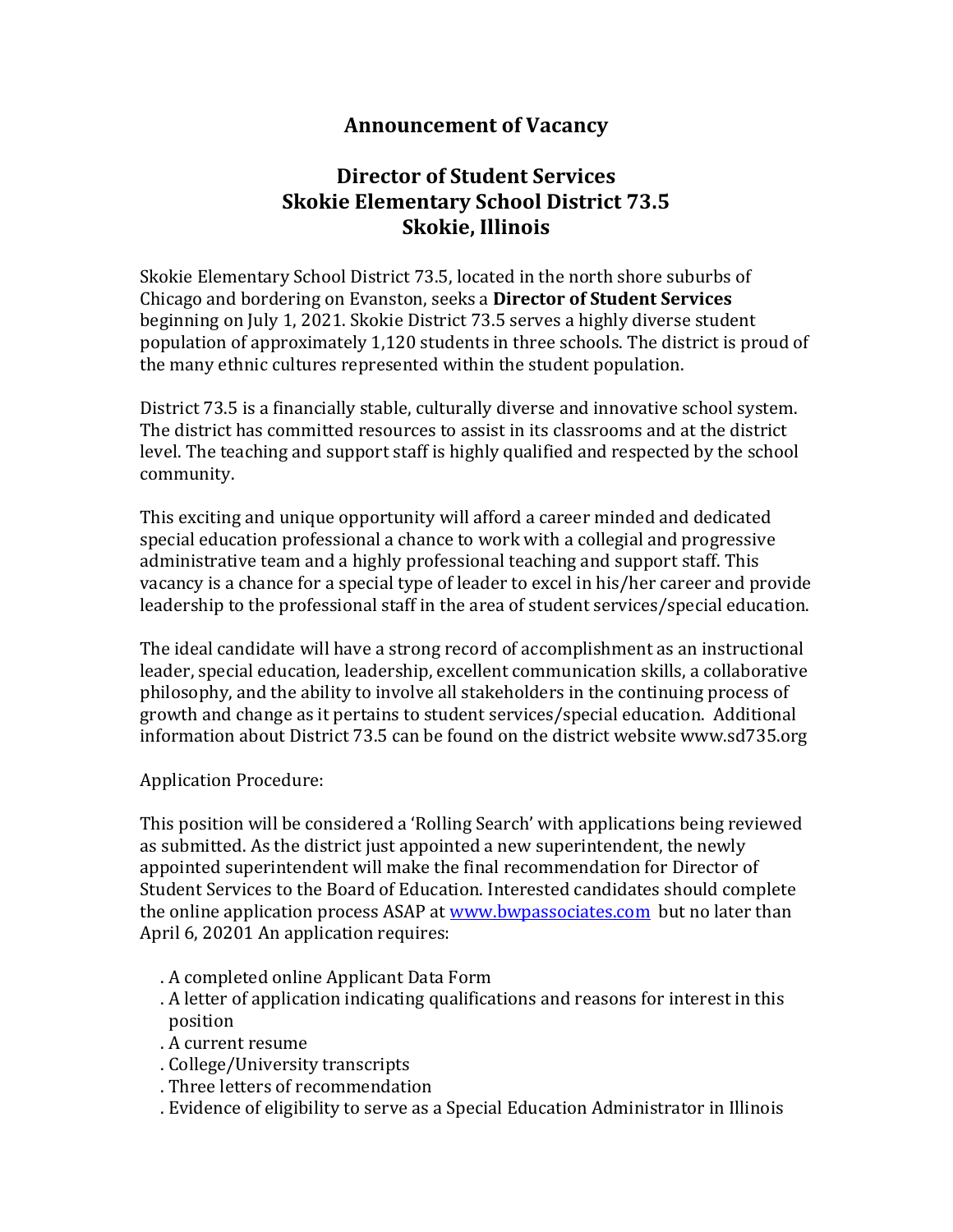## **Announcement of Vacancy**

## **Director of Student Services Skokie Elementary School District 73.5 Skokie, Illinois**

Skokie Elementary School District 73.5, located in the north shore suburbs of Chicago and bordering on Evanston, seeks a **Director of Student Services** beginning on July 1, 2021. Skokie District 73.5 serves a highly diverse student population of approximately 1,120 students in three schools. The district is proud of the many ethnic cultures represented within the student population.

District 73.5 is a financially stable, culturally diverse and innovative school system. The district has committed resources to assist in its classrooms and at the district level. The teaching and support staff is highly qualified and respected by the school community.

This exciting and unique opportunity will afford a career minded and dedicated special education professional a chance to work with a collegial and progressive administrative team and a highly professional teaching and support staff. This vacancy is a chance for a special type of leader to excel in his/her career and provide leadership to the professional staff in the area of student services/special education.

The ideal candidate will have a strong record of accomplishment as an instructional leader, special education, leadership, excellent communication skills, a collaborative philosophy, and the ability to involve all stakeholders in the continuing process of growth and change as it pertains to student services/special education. Additional information about District 73.5 can be found on the district website www.sd735.org

## Application Procedure:

This position will be considered a 'Rolling Search' with applications being reviewed as submitted. As the district just appointed a new superintendent, the newly appointed superintendent will make the final recommendation for Director of Student Services to the Board of Education. Interested candidates should complete the online application process ASAP at www.bwpassociates.com but no later than April 6, 20201 An application requires:

- . A completed online Applicant Data Form
- . A letter of application indicating qualifications and reasons for interest in this position
- . A current resume
- . College/University transcripts
- . Three letters of recommendation
- . Evidence of eligibility to serve as a Special Education Administrator in Illinois